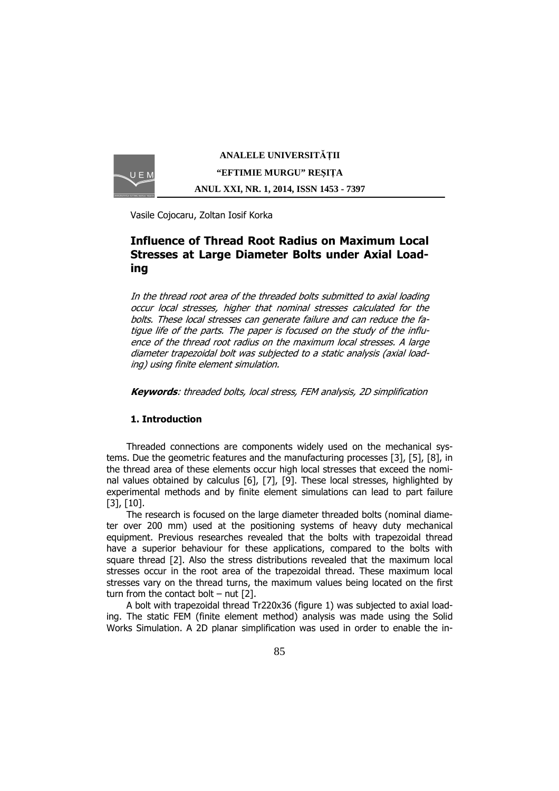

**ANALELE UNIVERSIT**Ăł**II "EFTIMIE MURGU" RE**Ş**I**ł**A ANUL XXI, NR. 1, 2014, ISSN 1453 - 7397** 

Vasile Cojocaru, Zoltan Iosif Korka

# Influence of Thread Root Radius on Maximum Local Stresses at Large Diameter Bolts under Axial Loading

In the thread root area of the threaded bolts submitted to axial loading occur local stresses, higher that nominal stresses calculated for the bolts. These local stresses can generate failure and can reduce the fatigue life of the parts. The paper is focused on the study of the influence of the thread root radius on the maximum local stresses. A large diameter trapezoidal bolt was subjected to a static analysis (axial loading) using finite element simulation.

Keywords: threaded bolts, local stress, FEM analysis, 2D simplification

### 1. Introduction

Threaded connections are components widely used on the mechanical systems. Due the geometric features and the manufacturing processes [3], [5], [8], in the thread area of these elements occur high local stresses that exceed the nominal values obtained by calculus [6], [7], [9]. These local stresses, highlighted by experimental methods and by finite element simulations can lead to part failure [3], [10].

The research is focused on the large diameter threaded bolts (nominal diameter over 200 mm) used at the positioning systems of heavy duty mechanical equipment. Previous researches revealed that the bolts with trapezoidal thread have a superior behaviour for these applications, compared to the bolts with square thread [2]. Also the stress distributions revealed that the maximum local stresses occur in the root area of the trapezoidal thread. These maximum local stresses vary on the thread turns, the maximum values being located on the first turn from the contact bolt  $-$  nut [2].

A bolt with trapezoidal thread Tr220x36 (figure 1) was subjected to axial loading. The static FEM (finite element method) analysis was made using the Solid Works Simulation. A 2D planar simplification was used in order to enable the in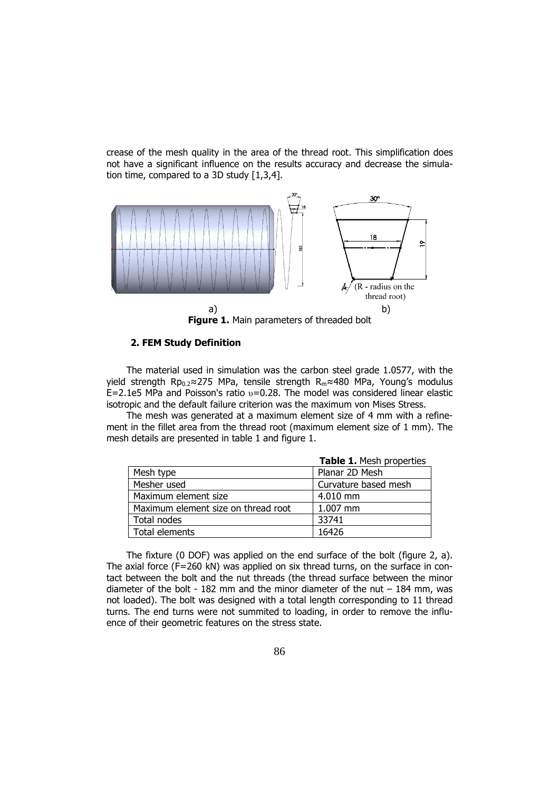crease of the mesh quality in the area of the thread root. This simplification does not have a significant influence on the results accuracy and decrease the simulation time, compared to a 3D study [1,3,4].



Figure 1. Main parameters of threaded bolt

#### 2. FEM Study Definition

The material used in simulation was the carbon steel grade 1.0577, with the yield strength Rp<sub>0.2</sub>≈275 MPa, tensile strength R<sub>m</sub>≈480 MPa, Young's modulus  $E=2.1e5$  MPa and Poisson's ratio  $v=0.28$ . The model was considered linear elastic isotropic and the default failure criterion was the maximum von Mises Stress.

The mesh was generated at a maximum element size of 4 mm with a refinement in the fillet area from the thread root (maximum element size of 1 mm). The mesh details are presented in table 1 and figure 1.

|                                     | Table 1. Mesh properties |
|-------------------------------------|--------------------------|
| Mesh type                           | Planar 2D Mesh           |
| Mesher used                         | Curvature based mesh     |
| Maximum element size                | 4.010 mm                 |
| Maximum element size on thread root | 1.007 mm                 |
| Total nodes                         | 33741                    |
| Total elements                      | 16426                    |

The fixture (0 DOF) was applied on the end surface of the bolt (figure 2, a). The axial force (F=260 kN) was applied on six thread turns, on the surface in contact between the bolt and the nut threads (the thread surface between the minor diameter of the bolt - 182 mm and the minor diameter of the nut  $-$  184 mm, was not loaded). The bolt was designed with a total length corresponding to 11 thread turns. The end turns were not summited to loading, in order to remove the influence of their geometric features on the stress state.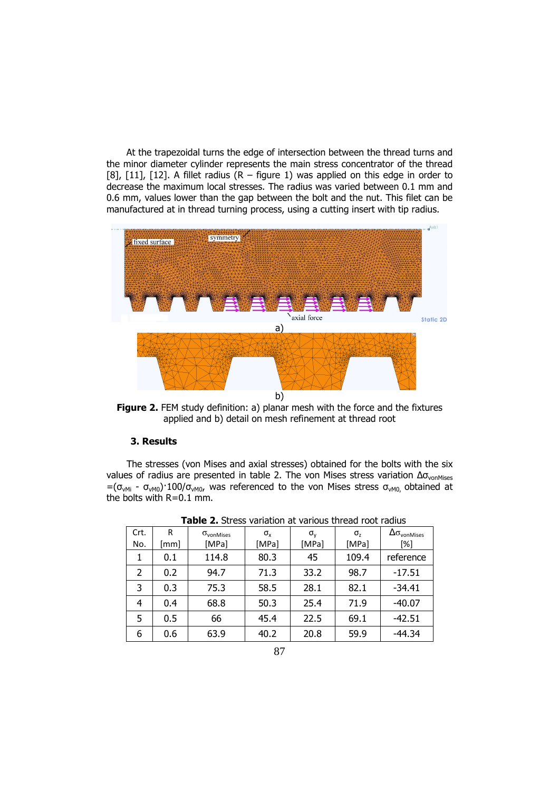At the trapezoidal turns the edge of intersection between the thread turns and the minor diameter cylinder represents the main stress concentrator of the thread [8], [11], [12]. A fillet radius  $(R - figure 1)$  was applied on this edge in order to decrease the maximum local stresses. The radius was varied between 0.1 mm and 0.6 mm, values lower than the gap between the bolt and the nut. This filet can be manufactured at in thread turning process, using a cutting insert with tip radius.



Figure 2. FEM study definition: a) planar mesh with the force and the fixtures applied and b) detail on mesh refinement at thread root

## 3. Results

The stresses (von Mises and axial stresses) obtained for the bolts with the six values of radius are presented in table 2. The von Mises stress variation  $Δσ<sub>vonMises</sub>$  $=(\sigma_{vMi} - \sigma_{vM0})$ <sup>-100</sup>/ $\sigma_{vM0}$ , was referenced to the von Mises stress  $\sigma_{vM0}$ , obtained at the bolts with R=0.1 mm.

| Crt. | R    | $\sigma_{\text{vonMises}}$ | $\sigma_{\rm x}$ | $\sigma_{v}$ | σ,    | $\Delta \sigma_{\text{vonMises}}$ |
|------|------|----------------------------|------------------|--------------|-------|-----------------------------------|
| No.  | [mm] | [MPa]                      | [MPa]            | [MPa]        | [MPa] | [%]                               |
| 1    | 0.1  | 114.8                      | 80.3             | 45           | 109.4 | reference                         |
| 2    | 0.2  | 94.7                       | 71.3             | 33.2         | 98.7  | $-17.51$                          |
| 3    | 0.3  | 75.3                       | 58.5             | 28.1         | 82.1  | $-34.41$                          |
| 4    | 0.4  | 68.8                       | 50.3             | 25.4         | 71.9  | $-40.07$                          |
| 5    | 0.5  | 66                         | 45.4             | 22.5         | 69.1  | $-42.51$                          |
| 6    | 0.6  | 63.9                       | 40.2             | 20.8         | 59.9  | $-44.34$                          |

Table 2. Stress variation at various thread root radius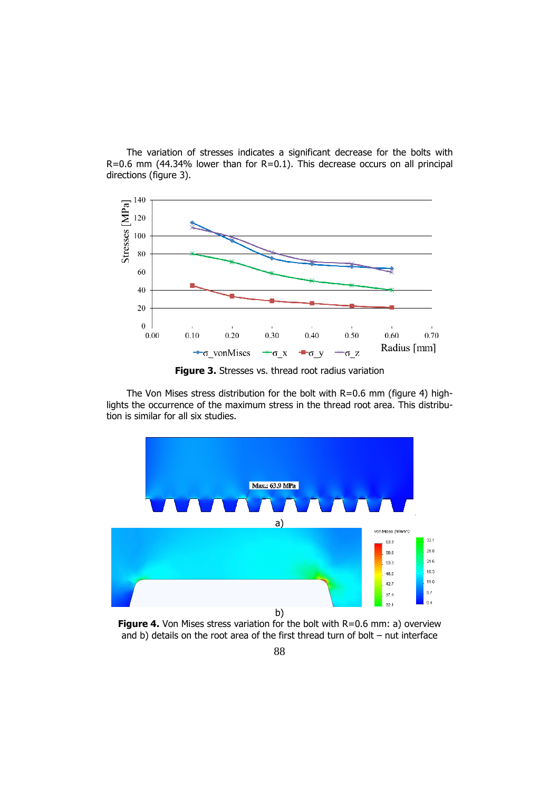The variation of stresses indicates a significant decrease for the bolts with  $R=0.6$  mm (44.34% lower than for  $R=0.1$ ). This decrease occurs on all principal directions (figure 3).



Figure 3. Stresses vs. thread root radius variation

The Von Mises stress distribution for the bolt with R=0.6 mm (figure 4) highlights the occurrence of the maximum stress in the thread root area. This distribution is similar for all six studies.



**Figure 4.** Von Mises stress variation for the bolt with  $R=0.6$  mm: a) overview and b) details on the root area of the first thread turn of bolt – nut interface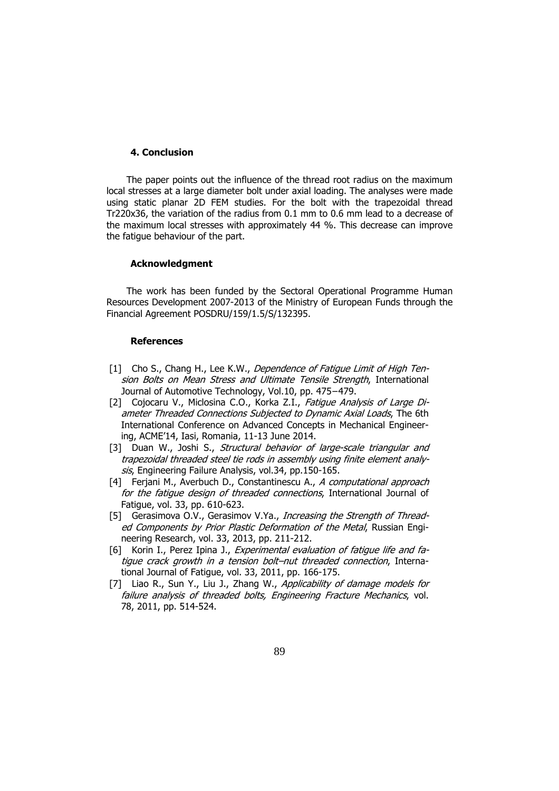#### 4. Conclusion

The paper points out the influence of the thread root radius on the maximum local stresses at a large diameter bolt under axial loading. The analyses were made using static planar 2D FEM studies. For the bolt with the trapezoidal thread Tr220x36, the variation of the radius from 0.1 mm to 0.6 mm lead to a decrease of the maximum local stresses with approximately 44 %. This decrease can improve the fatigue behaviour of the part.

#### Acknowledgment

The work has been funded by the Sectoral Operational Programme Human Resources Development 2007-2013 of the Ministry of European Funds through the Financial Agreement POSDRU/159/1.5/S/132395.

#### **References**

- [1] Cho S., Chang H., Lee K.W., Dependence of Fatigue Limit of High Tension Bolts on Mean Stress and Ultimate Tensile Strength, International Journal of Automotive Technology, Vol.10, pp. 475−479.
- [2] Cojocaru V., Miclosina C.O., Korka Z.I., Fatigue Analysis of Large Diameter Threaded Connections Subjected to Dynamic Axial Loads, The 6th International Conference on Advanced Concepts in Mechanical Engineering, ACME'14, Iasi, Romania, 11-13 June 2014.
- [3] Duan W., Joshi S., Structural behavior of large-scale triangular and trapezoidal threaded steel tie rods in assembly using finite element analysis, Engineering Failure Analysis, vol.34, pp.150-165.
- [4] Ferjani M., Averbuch D., Constantinescu A., A computational approach for the fatigue design of threaded connections, International Journal of Fatigue, vol. 33, pp. 610-623.
- [5] Gerasimova O.V., Gerasimov V.Ya., *Increasing the Strength of Thread*ed Components by Prior Plastic Deformation of the Metal, Russian Engineering Research, vol. 33, 2013, pp. 211-212.
- [6] Korin I., Perez Ipina J., Experimental evaluation of fatique life and fatique crack growth in a tension bolt–nut threaded connection, International Journal of Fatigue, vol. 33, 2011, pp. 166-175.
- [7] Liao R., Sun Y., Liu J., Zhang W., Applicability of damage models for failure analysis of threaded bolts, Engineering Fracture Mechanics, vol. 78, 2011, pp. 514-524.